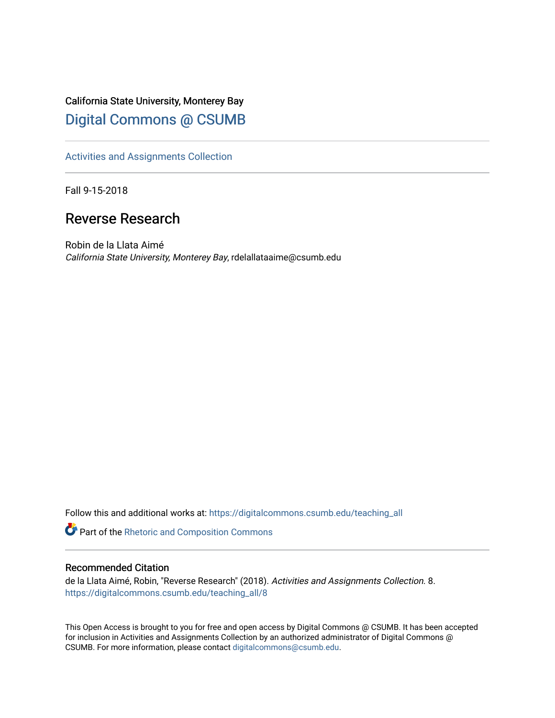# California State University, Monterey Bay [Digital Commons @ CSUMB](https://digitalcommons.csumb.edu/)

[Activities and Assignments Collection](https://digitalcommons.csumb.edu/teaching_all) 

Fall 9-15-2018

# Reverse Research

Robin de la Llata Aimé California State University, Monterey Bay, rdelallataaime@csumb.edu

Follow this and additional works at: [https://digitalcommons.csumb.edu/teaching\\_all](https://digitalcommons.csumb.edu/teaching_all?utm_source=digitalcommons.csumb.edu%2Fteaching_all%2F8&utm_medium=PDF&utm_campaign=PDFCoverPages) 

Part of the [Rhetoric and Composition Commons](http://network.bepress.com/hgg/discipline/573?utm_source=digitalcommons.csumb.edu%2Fteaching_all%2F8&utm_medium=PDF&utm_campaign=PDFCoverPages)

#### Recommended Citation

de la Llata Aimé, Robin, "Reverse Research" (2018). Activities and Assignments Collection. 8. [https://digitalcommons.csumb.edu/teaching\\_all/8](https://digitalcommons.csumb.edu/teaching_all/8?utm_source=digitalcommons.csumb.edu%2Fteaching_all%2F8&utm_medium=PDF&utm_campaign=PDFCoverPages)

This Open Access is brought to you for free and open access by Digital Commons @ CSUMB. It has been accepted for inclusion in Activities and Assignments Collection by an authorized administrator of Digital Commons @ CSUMB. For more information, please contact [digitalcommons@csumb.edu](mailto:digitalcommons@csumb.edu).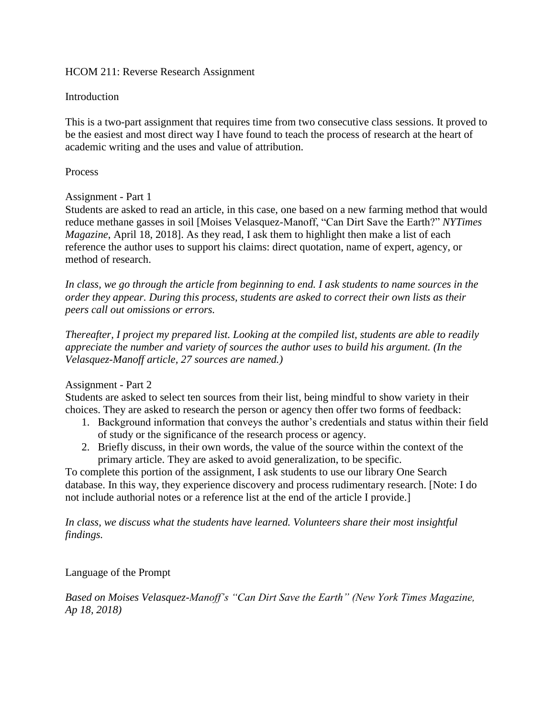### HCOM 211: Reverse Research Assignment

## Introduction

This is a two-part assignment that requires time from two consecutive class sessions. It proved to be the easiest and most direct way I have found to teach the process of research at the heart of academic writing and the uses and value of attribution.

### Process

## Assignment - Part 1

Students are asked to read an article, in this case, one based on a new farming method that would reduce methane gasses in soil [Moises Velasquez-Manoff, "Can Dirt Save the Earth?" *NYTimes Magazine*, April 18, 2018]. As they read, I ask them to highlight then make a list of each reference the author uses to support his claims: direct quotation, name of expert, agency, or method of research.

*In class, we go through the article from beginning to end. I ask students to name sources in the order they appear. During this process, students are asked to correct their own lists as their peers call out omissions or errors.*

*Thereafter, I project my prepared list. Looking at the compiled list, students are able to readily appreciate the number and variety of sources the author uses to build his argument. (In the Velasquez-Manoff article, 27 sources are named.)*

#### Assignment - Part 2

Students are asked to select ten sources from their list, being mindful to show variety in their choices. They are asked to research the person or agency then offer two forms of feedback:

- 1. Background information that conveys the author's credentials and status within their field of study or the significance of the research process or agency.
- 2. Briefly discuss, in their own words, the value of the source within the context of the primary article. They are asked to avoid generalization, to be specific.

To complete this portion of the assignment, I ask students to use our library One Search database. In this way, they experience discovery and process rudimentary research. [Note: I do not include authorial notes or a reference list at the end of the article I provide.]

*In class, we discuss what the students have learned. Volunteers share their most insightful findings.*

Language of the Prompt

*Based on Moises Velasquez-Manoff's "Can Dirt Save the Earth" (New York Times Magazine, Ap 18, 2018)*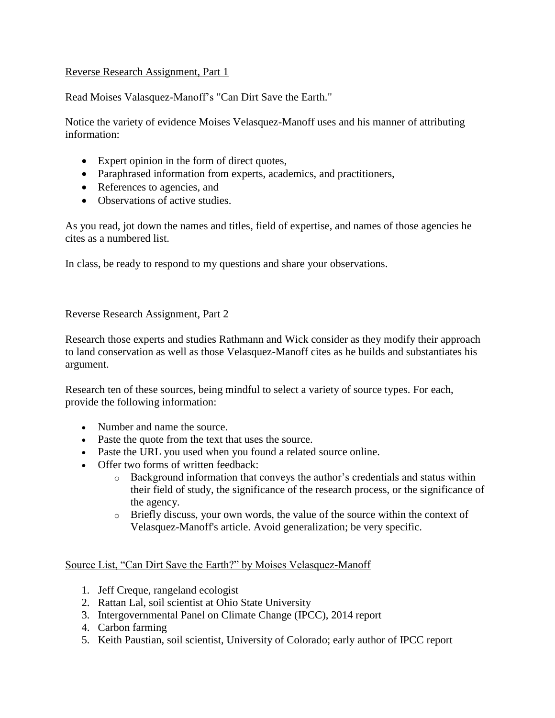## Reverse Research Assignment, Part 1

Read Moises Valasquez-Manoff's "Can Dirt Save the Earth."

Notice the variety of evidence Moises Velasquez-Manoff uses and his manner of attributing information:

- Expert opinion in the form of direct quotes,
- Paraphrased information from experts, academics, and practitioners,
- References to agencies, and
- Observations of active studies.

As you read, jot down the names and titles, field of expertise, and names of those agencies he cites as a numbered list.

In class, be ready to respond to my questions and share your observations.

#### Reverse Research Assignment, Part 2

Research those experts and studies Rathmann and Wick consider as they modify their approach to land conservation as well as those Velasquez-Manoff cites as he builds and substantiates his argument.

Research ten of these sources, being mindful to select a variety of source types. For each, provide the following information:

- Number and name the source.
- Paste the quote from the text that uses the source.
- Paste the URL you used when you found a related source online.
- Offer two forms of written feedback:
	- $\circ$  Background information that conveys the author's credentials and status within their field of study, the significance of the research process, or the significance of the agency.
	- o Briefly discuss, your own words, the value of the source within the context of Velasquez-Manoff's article. Avoid generalization; be very specific.

#### Source List, "Can Dirt Save the Earth?" by Moises Velasquez-Manoff

- 1. Jeff Creque, rangeland ecologist
- 2. Rattan Lal, soil scientist at Ohio State University
- 3. Intergovernmental Panel on Climate Change (IPCC), 2014 report
- 4. Carbon farming
- 5. Keith Paustian, soil scientist, University of Colorado; early author of IPCC report